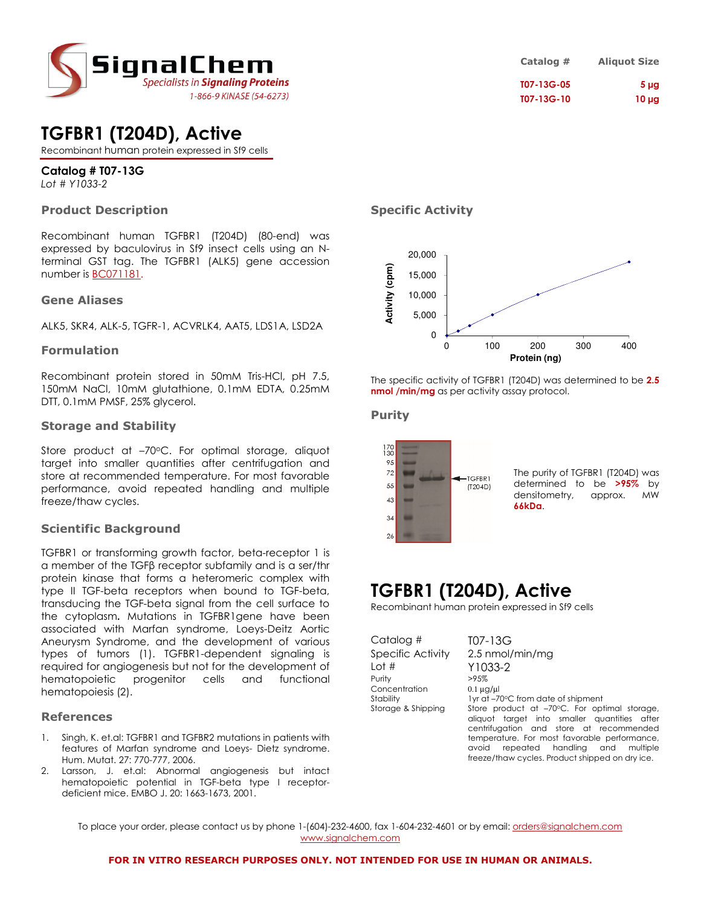

## **TGFBR1 (T204D), Active**

Recombinant human protein expressed in Sf9 cells

### **Catalog # T07-13G**

*Lot # Y1033-2*

### **Product Description**

Recombinant human TGFBR1 (T204D) (80-end) was expressed by baculovirus in Sf9 insect cells using an Nterminal GST tag. The TGFBR1 (ALK5) gene accession number is BC071181.

### **Gene Aliases**

ALK5, SKR4, ALK-5, TGFR-1, ACVRLK4, AAT5, LDS1A, LSD2A

### **Formulation**

Recombinant protein stored in 50mM Tris-HCl, pH 7.5, 150mM NaCl, 10mM glutathione, 0.1mM EDTA, 0.25mM DTT, 0.1mM PMSF, 25% glycerol.

### **Storage and Stability**

Store product at -70°C. For optimal storage, aliquot target into smaller quantities after centrifugation and store at recommended temperature. For most favorable performance, avoid repeated handling and multiple freeze/thaw cycles.

### **Scientific Background**

TGFBR1 or transforming growth factor, beta-receptor 1 is a member of the TGFβ receptor subfamily and is a ser/thr protein kinase that forms a heteromeric complex with type II TGF-beta receptors when bound to TGF-beta, transducing the TGF-beta signal from the cell surface to the cytoplasm**.** Mutations in TGFBR1gene have been associated with Marfan syndrome, Loeys-Deitz Aortic Aneurysm Syndrome, and the development of various types of tumors (1). TGFBR1-dependent signaling is required for angiogenesis but not for the development of hematopoietic progenitor cells and functional hematopoiesis (2).

### **References**

- 1. Singh, K. et.al: TGFBR1 and TGFBR2 mutations in patients with features of Marfan syndrome and Loeys- Dietz syndrome. Hum. Mutat. 27: 770-777, 2006.
- 2. Larsson, J. et.al: Abnormal angiogenesis but intact hematopoietic potential in TGF-beta type I receptordeficient mice. EMBO J. 20: 1663-1673, 2001.

### **Specific Activity**



The specific activity of TGFBR1 (T204D) was determined to be **2.5 nmol /min/mg** as per activity assay protocol.

### **Purity**



The purity of TGFBR1 (T204D) was determined to be **>95%** by densitometry, approx. MW **66kDa**.

## **TGFBR1 (T204D), Active**

Recombinant human protein expressed in Sf9 cells

Catalog # T07-13G Lot # Y1033-2 Purity >95% Concentration 0.1 µg/µl<br>Stability 1 yr at -7

Specific Activity 2.5 nmol/min/mg Stability 1yr at –70°C from date of shipment<br>Storage & Shipping Store product at –70°C. For opt Store product at –70°C. For optimal storage, aliquot target into smaller quantities after centrifugation and store at recommended temperature. For most favorable performance, avoid repeated handling and multiple freeze/thaw cycles. Product shipped on dry ice.

To place your order, please contact us by phone 1-(604)-232-4600, fax 1-604-232-4601 or by email: *orders@signalchem.com* www.signalchem.com